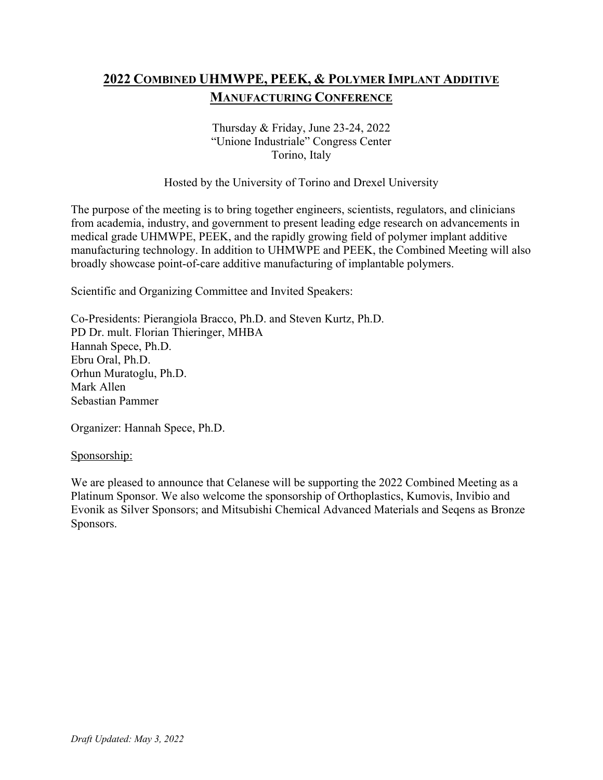# **2022 COMBINED UHMWPE, PEEK, & POLYMER IMPLANT ADDITIVE MANUFACTURING CONFERENCE**

#### Thursday & Friday, June 23-24, 2022 "Unione Industriale" Congress Center Torino, Italy

### Hosted by the University of Torino and Drexel University

The purpose of the meeting is to bring together engineers, scientists, regulators, and clinicians from academia, industry, and government to present leading edge research on advancements in medical grade UHMWPE, PEEK, and the rapidly growing field of polymer implant additive manufacturing technology. In addition to UHMWPE and PEEK, the Combined Meeting will also broadly showcase point-of-care additive manufacturing of implantable polymers.

Scientific and Organizing Committee and Invited Speakers:

Co-Presidents: Pierangiola Bracco, Ph.D. and Steven Kurtz, Ph.D. PD Dr. mult. Florian Thieringer, MHBA Hannah Spece, Ph.D. Ebru Oral, Ph.D. Orhun Muratoglu, Ph.D. Mark Allen Sebastian Pammer

Organizer: Hannah Spece, Ph.D.

#### Sponsorship:

We are pleased to announce that Celanese will be supporting the 2022 Combined Meeting as a Platinum Sponsor. We also welcome the sponsorship of Orthoplastics, Kumovis, Invibio and Evonik as Silver Sponsors; and Mitsubishi Chemical Advanced Materials and Seqens as Bronze Sponsors.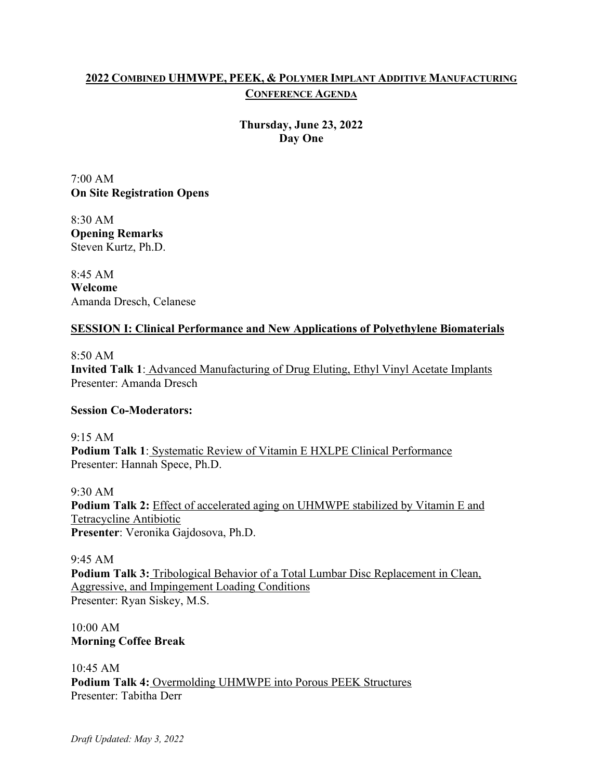# **2022 COMBINED UHMWPE, PEEK, & POLYMER IMPLANT ADDITIVE MANUFACTURING CONFERENCE AGENDA**

**Thursday, June 23, 2022 Day One**

7:00 AM **On Site Registration Opens**

8:30 AM **Opening Remarks** Steven Kurtz, Ph.D.

8:45 AM **Welcome** Amanda Dresch, Celanese

# **SESSION I: Clinical Performance and New Applications of Polyethylene Biomaterials**

8:50 AM **Invited Talk 1**: Advanced Manufacturing of Drug Eluting, Ethyl Vinyl Acetate Implants Presenter: Amanda Dresch

# **Session Co-Moderators:**

9:15 AM **Podium Talk 1**: Systematic Review of Vitamin E HXLPE Clinical Performance Presenter: Hannah Spece, Ph.D.

9:30 AM **Podium Talk 2:** Effect of accelerated aging on UHMWPE stabilized by Vitamin E and Tetracycline Antibiotic **Presenter**: Veronika Gajdosova, Ph.D.

9:45 AM **Podium Talk 3:** Tribological Behavior of a Total Lumbar Disc Replacement in Clean, Aggressive, and Impingement Loading Conditions Presenter: Ryan Siskey, M.S.

10:00 AM **Morning Coffee Break**

10:45 AM **Podium Talk 4:** Overmolding UHMWPE into Porous PEEK Structures Presenter: Tabitha Derr

*Draft Updated: May 3, 2022*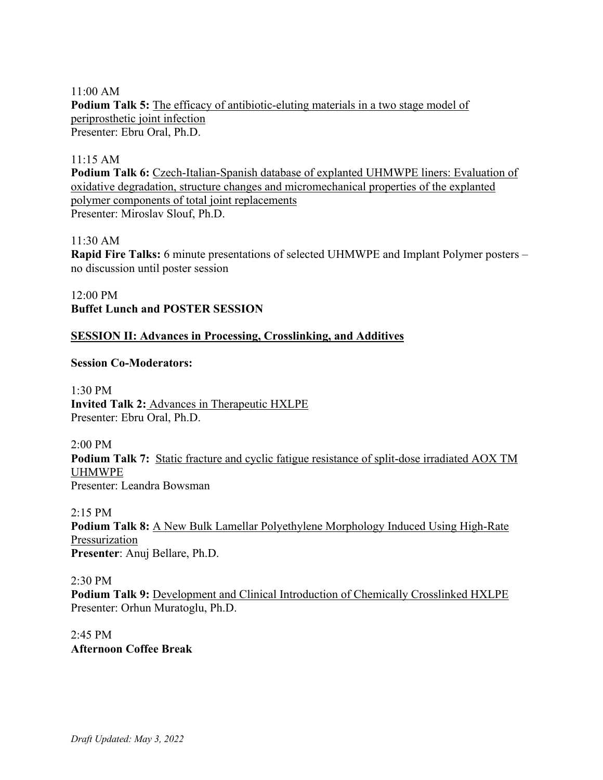#### 11:00 AM

**Podium Talk 5:** The efficacy of antibiotic-eluting materials in a two stage model of periprosthetic joint infection Presenter: Ebru Oral, Ph.D.

#### 11:15 AM

**Podium Talk 6:** Czech-Italian-Spanish database of explanted UHMWPE liners: Evaluation of oxidative degradation, structure changes and micromechanical properties of the explanted polymer components of total joint replacements Presenter: Miroslav Slouf, Ph.D.

#### 11:30 AM

**Rapid Fire Talks:** 6 minute presentations of selected UHMWPE and Implant Polymer posters – no discussion until poster session

12:00 PM **Buffet Lunch and POSTER SESSION**

#### **SESSION II: Advances in Processing, Crosslinking, and Additives**

#### **Session Co-Moderators:**

1:30 PM **Invited Talk 2:** Advances in Therapeutic HXLPE Presenter: Ebru Oral, Ph.D.

2:00 PM **Podium Talk 7:** Static fracture and cyclic fatigue resistance of split-dose irradiated AOX TM UHMWPE Presenter: Leandra Bowsman

2:15 PM **Podium Talk 8:** A New Bulk Lamellar Polyethylene Morphology Induced Using High-Rate Pressurization **Presenter**: Anuj Bellare, Ph.D.

2:30 PM

**Podium Talk 9:** Development and Clinical Introduction of Chemically Crosslinked HXLPE Presenter: Orhun Muratoglu, Ph.D.

2:45 PM **Afternoon Coffee Break**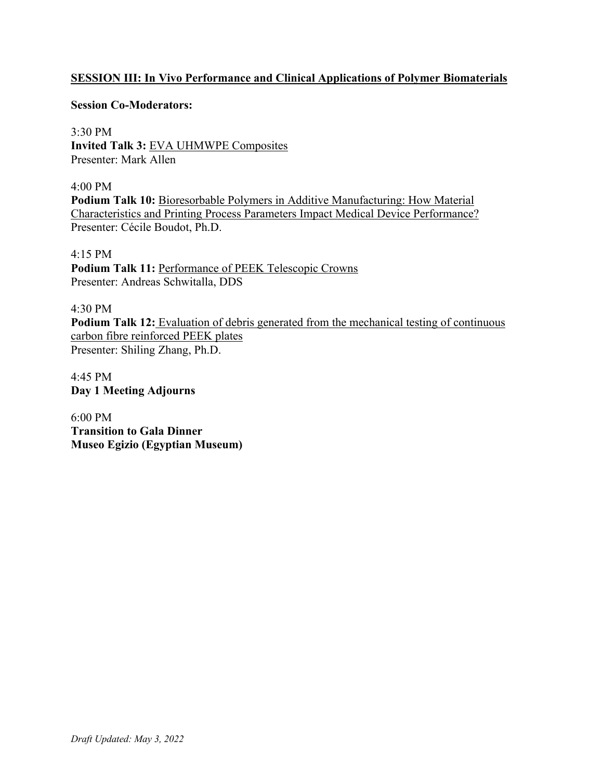# **SESSION III: In Vivo Performance and Clinical Applications of Polymer Biomaterials**

#### **Session Co-Moderators:**

3:30 PM **Invited Talk 3:** EVA UHMWPE Composites Presenter: Mark Allen

4:00 PM **Podium Talk 10:** Bioresorbable Polymers in Additive Manufacturing: How Material Characteristics and Printing Process Parameters Impact Medical Device Performance? Presenter: Cécile Boudot, Ph.D.

#### 4:15 PM

Podium Talk 11: Performance of PEEK Telescopic Crowns Presenter: Andreas Schwitalla, DDS

### 4:30 PM

**Podium Talk 12:** Evaluation of debris generated from the mechanical testing of continuous carbon fibre reinforced PEEK plates Presenter: Shiling Zhang, Ph.D.

4:45 PM **Day 1 Meeting Adjourns**

6:00 PM **Transition to Gala Dinner Museo Egizio (Egyptian Museum)**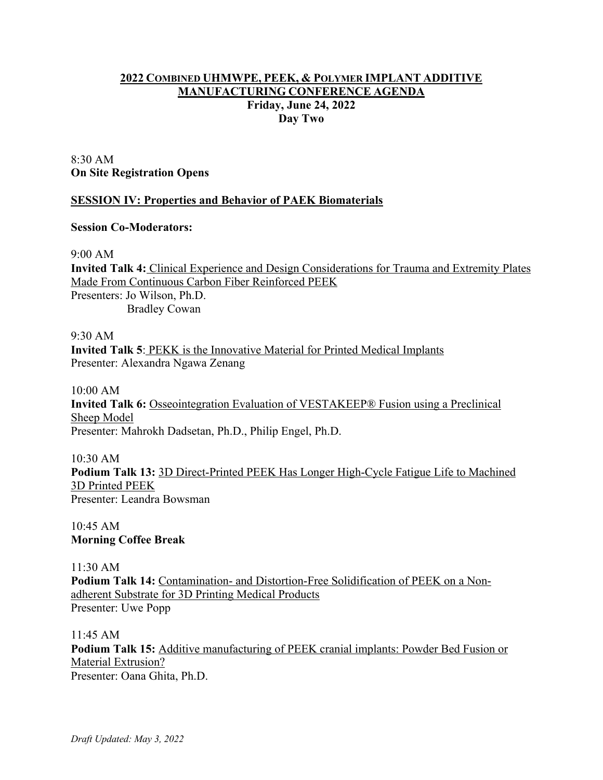## **2022 COMBINED UHMWPE, PEEK, & POLYMER IMPLANT ADDITIVE MANUFACTURING CONFERENCE AGENDA Friday, June 24, 2022 Day Two**

## 8:30 AM **On Site Registration Opens**

# **SESSION IV: Properties and Behavior of PAEK Biomaterials**

## **Session Co-Moderators:**

9:00 AM

**Invited Talk 4:** Clinical Experience and Design Considerations for Trauma and Extremity Plates Made From Continuous Carbon Fiber Reinforced PEEK Presenters: Jo Wilson, Ph.D. Bradley Cowan

9:30 AM

**Invited Talk 5**: PEKK is the Innovative Material for Printed Medical Implants Presenter: Alexandra Ngawa Zenang

10:00 AM **Invited Talk 6:** Osseointegration Evaluation of VESTAKEEP® Fusion using a Preclinical Sheep Model Presenter: Mahrokh Dadsetan, Ph.D., Philip Engel, Ph.D.

10:30 AM **Podium Talk 13:** 3D Direct-Printed PEEK Has Longer High-Cycle Fatigue Life to Machined 3D Printed PEEK Presenter: Leandra Bowsman

10:45 AM **Morning Coffee Break**

11:30 AM **Podium Talk 14:** Contamination- and Distortion-Free Solidification of PEEK on a Nonadherent Substrate for 3D Printing Medical Products Presenter: Uwe Popp

11:45 AM **Podium Talk 15:** Additive manufacturing of PEEK cranial implants: Powder Bed Fusion or Material Extrusion? Presenter: Oana Ghita, Ph.D.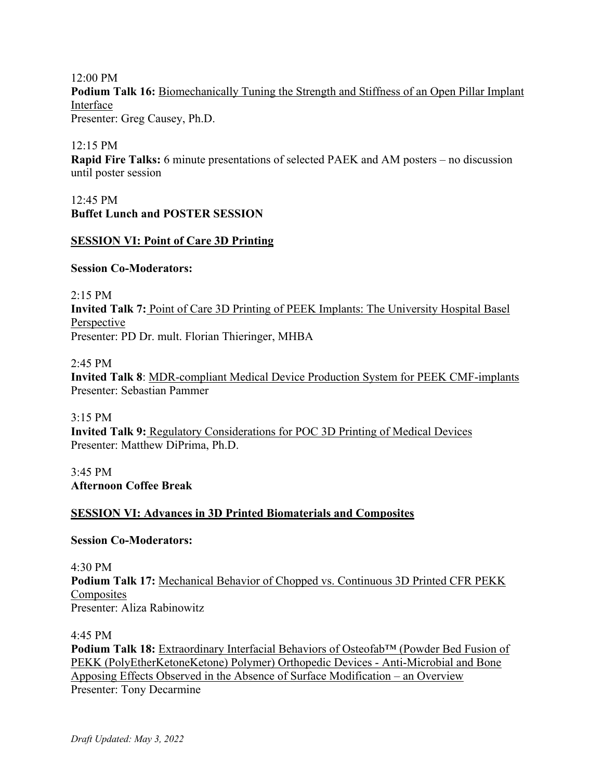12:00 PM Podium Talk 16: Biomechanically Tuning the Strength and Stiffness of an Open Pillar Implant Interface Presenter: Greg Causey, Ph.D.

12:15 PM

**Rapid Fire Talks:** 6 minute presentations of selected PAEK and AM posters – no discussion until poster session

12:45 PM **Buffet Lunch and POSTER SESSION**

## **SESSION VI: Point of Care 3D Printing**

#### **Session Co-Moderators:**

2:15 PM **Invited Talk 7:** Point of Care 3D Printing of PEEK Implants: The University Hospital Basel Perspective Presenter: PD Dr. mult. Florian Thieringer, MHBA

2:45 PM

**Invited Talk 8**: MDR-compliant Medical Device Production System for PEEK CMF-implants Presenter: Sebastian Pammer

3:15 PM **Invited Talk 9:** Regulatory Considerations for POC 3D Printing of Medical Devices Presenter: Matthew DiPrima, Ph.D.

3:45 PM **Afternoon Coffee Break**

# **SESSION VI: Advances in 3D Printed Biomaterials and Composites**

**Session Co-Moderators:** 

4:30 PM

**Podium Talk 17:** Mechanical Behavior of Chopped vs. Continuous 3D Printed CFR PEKK **Composites** Presenter: Aliza Rabinowitz

4:45 PM

**Podium Talk 18:** Extraordinary Interfacial Behaviors of Osteofab™ (Powder Bed Fusion of PEKK (PolyEtherKetoneKetone) Polymer) Orthopedic Devices - Anti-Microbial and Bone Apposing Effects Observed in the Absence of Surface Modification – an Overview Presenter: Tony Decarmine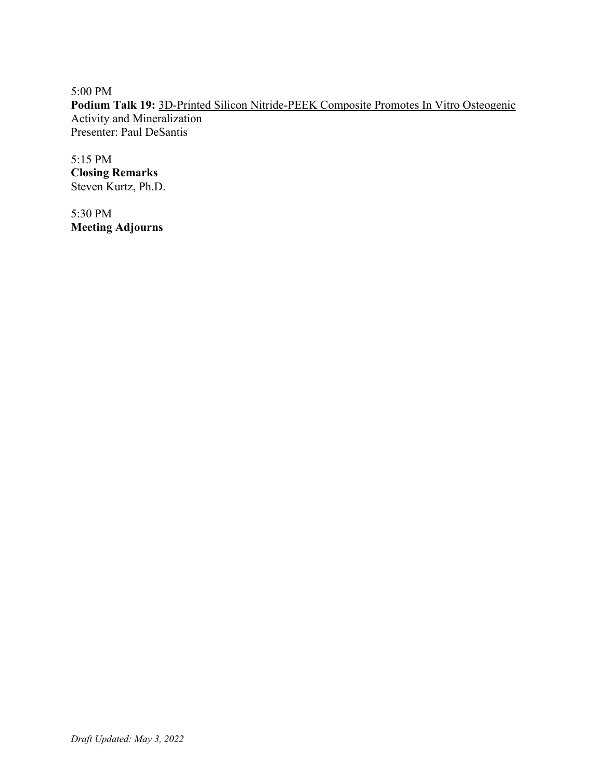5:00 PM **Podium Talk 19:** 3D-Printed Silicon Nitride-PEEK Composite Promotes In Vitro Osteogenic Activity and Mineralization Presenter: Paul DeSantis

5:15 PM **Closing Remarks** Steven Kurtz, Ph.D.

5:30 PM **Meeting Adjourns**